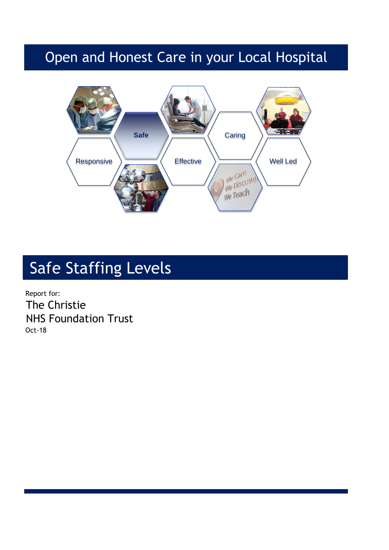## Open and Honest Care in your Local Hospital



# Safe Staffing Levels

Report for: The Christie NHS Foundation Trust Oct-18